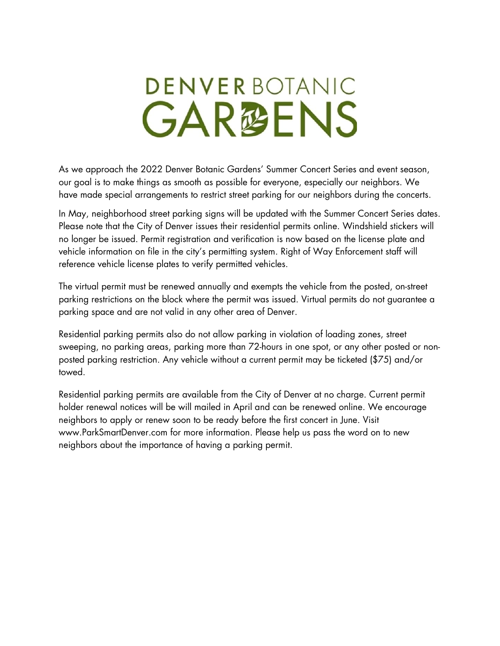## **DENVERBOTANIC GAR@ENS**

As we approach the 2022 Denver Botanic Gardens' Summer Concert Series and event season, our goal is to make things as smooth as possible for everyone, especially our neighbors. We have made special arrangements to restrict street parking for our neighbors during the concerts.

In May, neighborhood street parking signs will be updated with the Summer Concert Series dates. Please note that the City of Denver issues their residential permits online. Windshield stickers will no longer be issued. Permit registration and verification is now based on the license plate and vehicle information on file in the city's permitting system. Right of Way Enforcement staff will reference vehicle license plates to verify permitted vehicles.

The virtual permit must be renewed annually and exempts the vehicle from the posted, on-street parking restrictions on the block where the permit was issued. Virtual permits do not guarantee a parking space and are not valid in any other area of Denver.

Residential parking permits also do not allow parking in violation of loading zones, street sweeping, no parking areas, parking more than 72-hours in one spot, or any other posted or nonposted parking restriction. Any vehicle without a current permit may be ticketed (\$75) and/or towed.

Residential parking permits are available from the City of Denver at no charge. Current permit holder renewal notices will be will mailed in April and can be renewed online. We encourage neighbors to apply or renew soon to be ready before the first concert in June. Visit www.ParkSmartDenver.com for more information. Please help us pass the word on to new neighbors about the importance of having a parking permit.